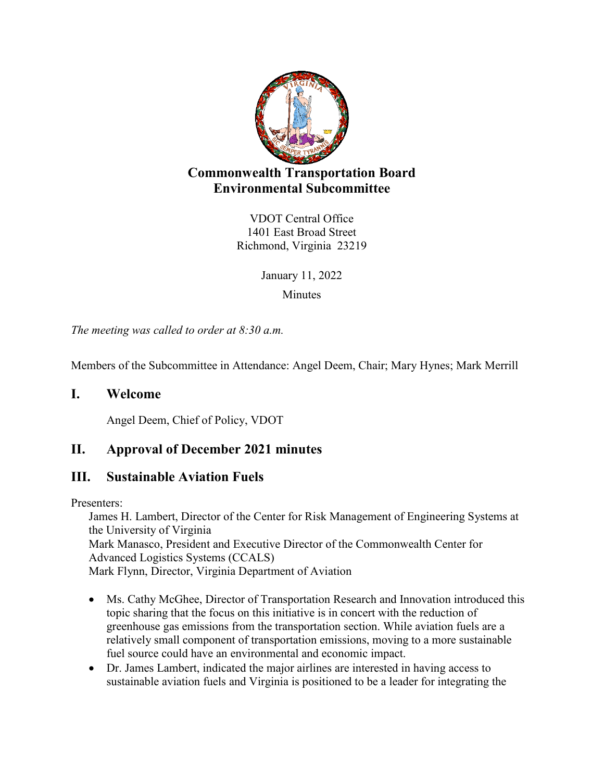

# **Commonwealth Transportation Board Environmental Subcommittee**

VDOT Central Office 1401 East Broad Street Richmond, Virginia 23219

> January 11, 2022 **Minutes**

*The meeting was called to order at 8:30 a.m.*

Members of the Subcommittee in Attendance: Angel Deem, Chair; Mary Hynes; Mark Merrill

### **I. Welcome**

Angel Deem, Chief of Policy, VDOT

## **II. Approval of December 2021 minutes**

### **III. Sustainable Aviation Fuels**

Presenters:

James H. Lambert, Director of the Center for Risk Management of Engineering Systems at the University of Virginia Mark Manasco, President and Executive Director of the Commonwealth Center for Advanced Logistics Systems (CCALS) Mark Flynn, Director, Virginia Department of Aviation

- Ms. Cathy McGhee, Director of Transportation Research and Innovation introduced this topic sharing that the focus on this initiative is in concert with the reduction of greenhouse gas emissions from the transportation section. While aviation fuels are a relatively small component of transportation emissions, moving to a more sustainable fuel source could have an environmental and economic impact.
- Dr. James Lambert, indicated the major airlines are interested in having access to sustainable aviation fuels and Virginia is positioned to be a leader for integrating the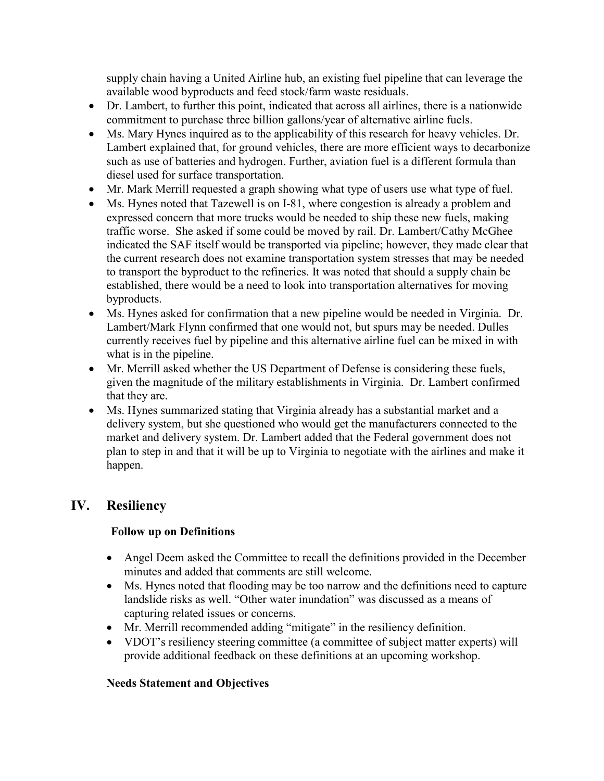supply chain having a United Airline hub, an existing fuel pipeline that can leverage the available wood byproducts and feed stock/farm waste residuals.

- Dr. Lambert, to further this point, indicated that across all airlines, there is a nationwide commitment to purchase three billion gallons/year of alternative airline fuels.
- Ms. Mary Hynes inquired as to the applicability of this research for heavy vehicles. Dr. Lambert explained that, for ground vehicles, there are more efficient ways to decarbonize such as use of batteries and hydrogen. Further, aviation fuel is a different formula than diesel used for surface transportation.
- Mr. Mark Merrill requested a graph showing what type of users use what type of fuel.
- Ms. Hynes noted that Tazewell is on I-81, where congestion is already a problem and expressed concern that more trucks would be needed to ship these new fuels, making traffic worse. She asked if some could be moved by rail. Dr. Lambert/Cathy McGhee indicated the SAF itself would be transported via pipeline; however, they made clear that the current research does not examine transportation system stresses that may be needed to transport the byproduct to the refineries. It was noted that should a supply chain be established, there would be a need to look into transportation alternatives for moving byproducts.
- Ms. Hynes asked for confirmation that a new pipeline would be needed in Virginia. Dr. Lambert/Mark Flynn confirmed that one would not, but spurs may be needed. Dulles currently receives fuel by pipeline and this alternative airline fuel can be mixed in with what is in the pipeline.
- Mr. Merrill asked whether the US Department of Defense is considering these fuels, given the magnitude of the military establishments in Virginia. Dr. Lambert confirmed that they are.
- Ms. Hynes summarized stating that Virginia already has a substantial market and a delivery system, but she questioned who would get the manufacturers connected to the market and delivery system. Dr. Lambert added that the Federal government does not plan to step in and that it will be up to Virginia to negotiate with the airlines and make it happen.

## **IV. Resiliency**

### **Follow up on Definitions**

- Angel Deem asked the Committee to recall the definitions provided in the December minutes and added that comments are still welcome.
- Ms. Hynes noted that flooding may be too narrow and the definitions need to capture landslide risks as well. "Other water inundation" was discussed as a means of capturing related issues or concerns.
- Mr. Merrill recommended adding "mitigate" in the resiliency definition.
- VDOT's resiliency steering committee (a committee of subject matter experts) will provide additional feedback on these definitions at an upcoming workshop.

### **Needs Statement and Objectives**